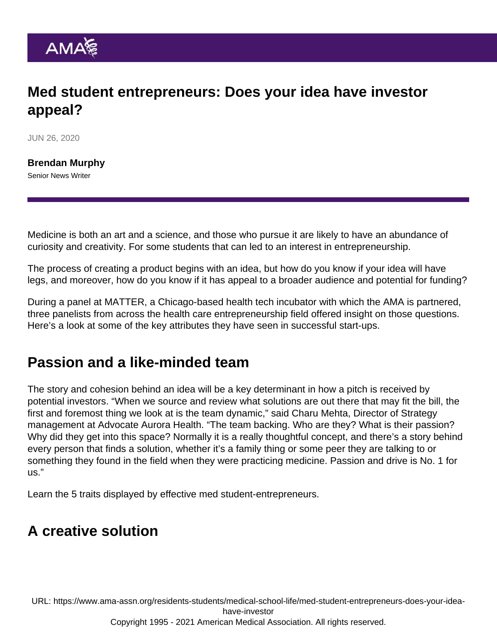## Med student entrepreneurs: Does your idea have investor appeal?

JUN 26, 2020

[Brendan Murphy](https://www.ama-assn.org/news-leadership-viewpoints/authors-news-leadership-viewpoints/brendan-murphy) Senior News Writer

Medicine is both an art and a science, and those who pursue it are likely to have an abundance of curiosity and creativity. For some students that can led to an interest in entrepreneurship.

The process of creating a product begins with an idea, but how do you know if your idea will have legs, and moreover, how do you know if it has appeal to a broader audience and potential for funding?

During a panel at MATTER, a Chicago-based health tech incubator with which the AMA is partnered, three panelists from across the health care entrepreneurship field offered insight on those questions. Here's a look at some of the key attributes they have seen in successful start-ups.

## Passion and a like-minded team

The story and cohesion behind an idea will be a key determinant in how a pitch is received by potential investors. "When we source and review what solutions are out there that may fit the bill, the first and foremost thing we look at is the team dynamic," said Charu Mehta, Director of Strategy management at Advocate Aurora Health. "The team backing. Who are they? What is their passion? Why did they get into this space? Normally it is a really thoughtful concept, and there's a story behind every person that finds a solution, whether it's a family thing or some peer they are talking to or something they found in the field when they were practicing medicine. Passion and drive is No. 1 for us."

Learn the [5 traits displayed by effective med student-entrepreneurs](https://www.ama-assn.org/residents-students/medical-school-life/effective-med-student-entrepreneurs-have-these-5-traits).

## A creative solution

URL: [https://www.ama-assn.org/residents-students/medical-school-life/med-student-entrepreneurs-does-your-idea](https://www.ama-assn.org/residents-students/medical-school-life/med-student-entrepreneurs-does-your-idea-have-investor)[have-investor](https://www.ama-assn.org/residents-students/medical-school-life/med-student-entrepreneurs-does-your-idea-have-investor) Copyright 1995 - 2021 American Medical Association. All rights reserved.